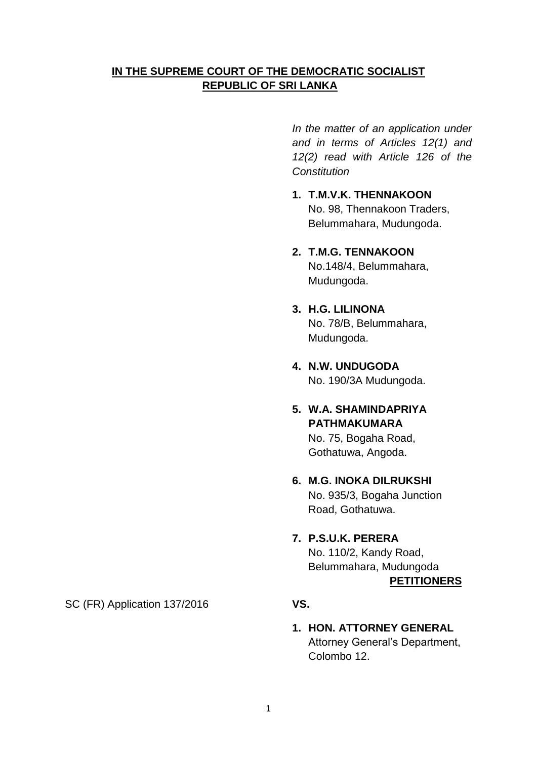# **IN THE SUPREME COURT OF THE DEMOCRATIC SOCIALIST REPUBLIC OF SRI LANKA**

*In the matter of an application under and in terms of Articles 12(1) and 12(2) read with Article 126 of the Constitution*

- **1. T.M.V.K. THENNAKOON** No. 98, Thennakoon Traders, Belummahara, Mudungoda.
- **2. T.M.G. TENNAKOON** No.148/4, Belummahara, Mudungoda.
- **3. H.G. LILINONA** No. 78/B, Belummahara,

Mudungoda.

- **4. N.W. UNDUGODA** No. 190/3A Mudungoda.
- **5. W.A. SHAMINDAPRIYA PATHMAKUMARA** No. 75, Bogaha Road, Gothatuwa, Angoda.
- **6. M.G. INOKA DILRUKSHI** No. 935/3, Bogaha Junction Road, Gothatuwa.
- **7. P.S.U.K. PERERA** No. 110/2, Kandy Road, Belummahara, Mudungoda **PETITIONERS**

**1. HON. ATTORNEY GENERAL**  Attorney General's Department, Colombo 12.

SC (FR) Application 137/2016 **VS.**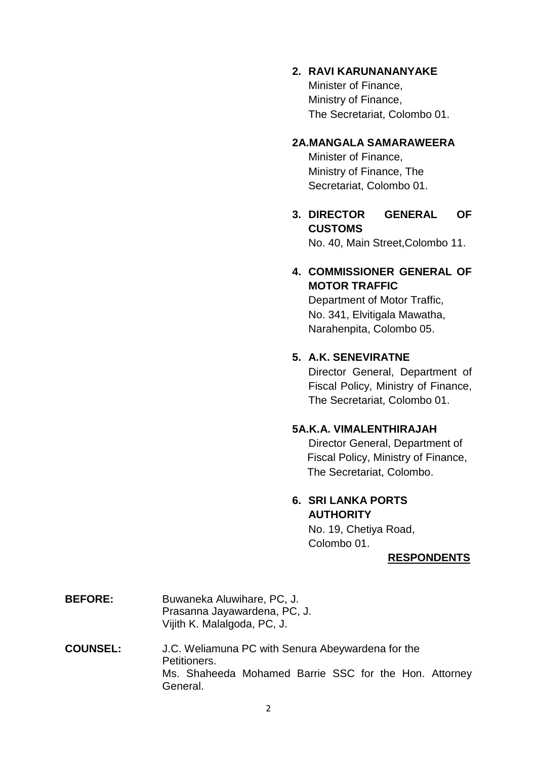# **2. RAVI KARUNANANYAKE**

Minister of Finance, Ministry of Finance, The Secretariat, Colombo 01.

#### **2A.MANGALA SAMARAWEERA**

Minister of Finance, Ministry of Finance, The Secretariat, Colombo 01.

**3. DIRECTOR GENERAL OF CUSTOMS**

No. 40, Main Street,Colombo 11.

# **4. COMMISSIONER GENERAL OF MOTOR TRAFFIC**

Department of Motor Traffic, No. 341, Elvitigala Mawatha, Narahenpita, Colombo 05.

#### **5. A.K. SENEVIRATNE**

Director General, Department of Fiscal Policy, Ministry of Finance, The Secretariat, Colombo 01.

### **5A.K.A. VIMALENTHIRAJAH**

 Director General, Department of Fiscal Policy, Ministry of Finance, The Secretariat, Colombo.

## **6. SRI LANKA PORTS AUTHORITY**

No. 19, Chetiya Road, Colombo 01.

#### **RESPONDENTS**

**BEFORE:** Buwaneka Aluwihare, PC, J. Prasanna Jayawardena, PC, J. Vijith K. Malalgoda, PC, J.

**COUNSEL:** J.C. Weliamuna PC with Senura Abeywardena for the Petitioners. Ms. Shaheeda Mohamed Barrie SSC for the Hon. Attorney General.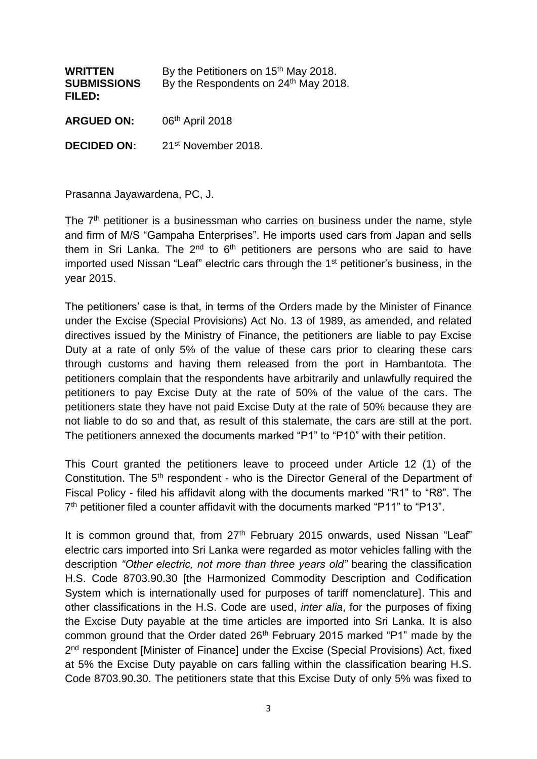| <b>WRITTEN</b><br><b>SUBMISSIONS</b><br>FILED: | By the Petitioners on 15 <sup>th</sup> May 2018.<br>By the Respondents on 24 <sup>th</sup> May 2018. |
|------------------------------------------------|------------------------------------------------------------------------------------------------------|
| <b>ARGUED ON:</b>                              | 06th April 2018                                                                                      |
| <b>DECIDED ON:</b>                             | 21 <sup>st</sup> November 2018.                                                                      |

Prasanna Jayawardena, PC, J.

The  $7<sup>th</sup>$  petitioner is a businessman who carries on business under the name, style and firm of M/S "Gampaha Enterprises". He imports used cars from Japan and sells them in Sri Lanka. The  $2^{nd}$  to  $6^{th}$  petitioners are persons who are said to have imported used Nissan "Leaf" electric cars through the 1<sup>st</sup> petitioner's business, in the year 2015.

The petitioners' case is that, in terms of the Orders made by the Minister of Finance under the Excise (Special Provisions) Act No. 13 of 1989, as amended, and related directives issued by the Ministry of Finance, the petitioners are liable to pay Excise Duty at a rate of only 5% of the value of these cars prior to clearing these cars through customs and having them released from the port in Hambantota. The petitioners complain that the respondents have arbitrarily and unlawfully required the petitioners to pay Excise Duty at the rate of 50% of the value of the cars. The petitioners state they have not paid Excise Duty at the rate of 50% because they are not liable to do so and that, as result of this stalemate, the cars are still at the port. The petitioners annexed the documents marked "P1" to "P10" with their petition.

This Court granted the petitioners leave to proceed under Article 12 (1) of the Constitution. The 5<sup>th</sup> respondent - who is the Director General of the Department of Fiscal Policy - filed his affidavit along with the documents marked "R1" to "R8". The 7<sup>th</sup> petitioner filed a counter affidavit with the documents marked "P11" to "P13".

It is common ground that, from 27<sup>th</sup> February 2015 onwards, used Nissan "Leaf" electric cars imported into Sri Lanka were regarded as motor vehicles falling with the description *"Other electric, not more than three years old"* bearing the classification H.S. Code 8703.90.30 [the Harmonized Commodity Description and Codification System which is internationally used for purposes of tariff nomenclature]. This and other classifications in the H.S. Code are used, *inter alia*, for the purposes of fixing the Excise Duty payable at the time articles are imported into Sri Lanka. It is also common ground that the Order dated 26<sup>th</sup> February 2015 marked "P1" made by the 2<sup>nd</sup> respondent [Minister of Finance] under the Excise (Special Provisions) Act, fixed at 5% the Excise Duty payable on cars falling within the classification bearing H.S. Code 8703.90.30. The petitioners state that this Excise Duty of only 5% was fixed to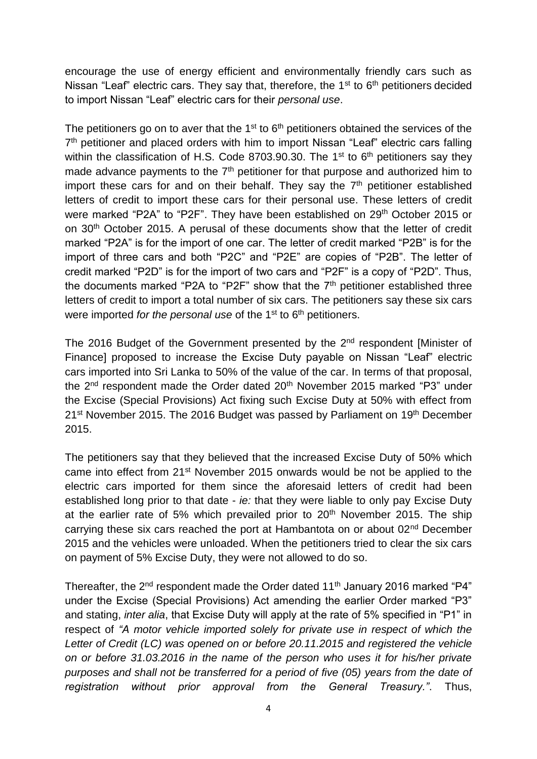encourage the use of energy efficient and environmentally friendly cars such as Nissan "Leaf" electric cars. They say that, therefore, the  $1<sup>st</sup>$  to  $6<sup>th</sup>$  petitioners decided to import Nissan "Leaf" electric cars for their *personal use*.

The petitioners go on to aver that the  $1<sup>st</sup>$  to  $6<sup>th</sup>$  petitioners obtained the services of the 7<sup>th</sup> petitioner and placed orders with him to import Nissan "Leaf" electric cars falling within the classification of H.S. Code 8703.90.30. The 1<sup>st</sup> to  $6<sup>th</sup>$  petitioners say they made advance payments to the  $7<sup>th</sup>$  petitioner for that purpose and authorized him to import these cars for and on their behalf. They say the  $7<sup>th</sup>$  petitioner established letters of credit to import these cars for their personal use. These letters of credit were marked "P2A" to "P2F". They have been established on 29<sup>th</sup> October 2015 or on 30th October 2015. A perusal of these documents show that the letter of credit marked "P2A" is for the import of one car. The letter of credit marked "P2B" is for the import of three cars and both "P2C" and "P2E" are copies of "P2B". The letter of credit marked "P2D" is for the import of two cars and "P2F" is a copy of "P2D". Thus, the documents marked "P2A to "P2F" show that the  $7<sup>th</sup>$  petitioner established three letters of credit to import a total number of six cars. The petitioners say these six cars were imported *for the personal use* of the 1<sup>st</sup> to 6<sup>th</sup> petitioners.

The 2016 Budget of the Government presented by the 2<sup>nd</sup> respondent [Minister of Finance] proposed to increase the Excise Duty payable on Nissan "Leaf" electric cars imported into Sri Lanka to 50% of the value of the car. In terms of that proposal, the 2<sup>nd</sup> respondent made the Order dated 20<sup>th</sup> November 2015 marked "P3" under the Excise (Special Provisions) Act fixing such Excise Duty at 50% with effect from 21<sup>st</sup> November 2015. The 2016 Budget was passed by Parliament on 19<sup>th</sup> December 2015.

The petitioners say that they believed that the increased Excise Duty of 50% which came into effect from 21st November 2015 onwards would be not be applied to the electric cars imported for them since the aforesaid letters of credit had been established long prior to that date - *ie:* that they were liable to only pay Excise Duty at the earlier rate of 5% which prevailed prior to  $20<sup>th</sup>$  November 2015. The ship carrying these six cars reached the port at Hambantota on or about 02<sup>nd</sup> December 2015 and the vehicles were unloaded. When the petitioners tried to clear the six cars on payment of 5% Excise Duty, they were not allowed to do so.

Thereafter, the 2<sup>nd</sup> respondent made the Order dated 11<sup>th</sup> January 2016 marked "P4" under the Excise (Special Provisions) Act amending the earlier Order marked "P3" and stating, *inter alia*, that Excise Duty will apply at the rate of 5% specified in "P1" in respect of *"A motor vehicle imported solely for private use in respect of which the Letter of Credit (LC) was opened on or before 20.11.2015 and registered the vehicle on or before 31.03.2016 in the name of the person who uses it for his/her private purposes and shall not be transferred for a period of five (05) years from the date of registration without prior approval from the General Treasury."*. Thus,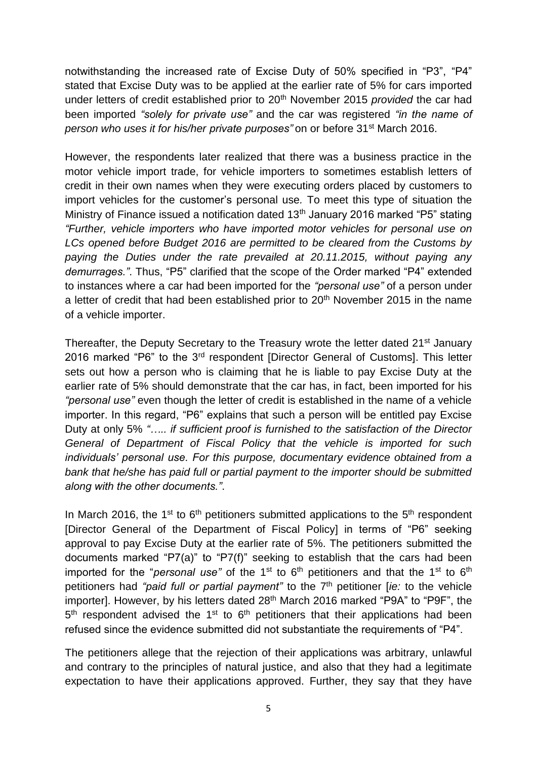notwithstanding the increased rate of Excise Duty of 50% specified in "P3", "P4" stated that Excise Duty was to be applied at the earlier rate of 5% for cars imported under letters of credit established prior to 20<sup>th</sup> November 2015 *provided* the car had been imported *"solely for private use"* and the car was registered *"in the name of person who uses it for his/her private purposes"* on or before 31st March 2016.

However, the respondents later realized that there was a business practice in the motor vehicle import trade, for vehicle importers to sometimes establish letters of credit in their own names when they were executing orders placed by customers to import vehicles for the customer's personal use*.* To meet this type of situation the Ministry of Finance issued a notification dated 13<sup>th</sup> January 2016 marked "P5" stating *"Further, vehicle importers who have imported motor vehicles for personal use on LCs opened before Budget 2016 are permitted to be cleared from the Customs by paying the Duties under the rate prevailed at 20.11.2015, without paying any demurrages."*. Thus, "P5" clarified that the scope of the Order marked "P4" extended to instances where a car had been imported for the *"personal use"* of a person under a letter of credit that had been established prior to 20<sup>th</sup> November 2015 in the name of a vehicle importer.

Thereafter, the Deputy Secretary to the Treasury wrote the letter dated 21<sup>st</sup> January 2016 marked "P6" to the 3<sup>rd</sup> respondent [Director General of Customs]. This letter sets out how a person who is claiming that he is liable to pay Excise Duty at the earlier rate of 5% should demonstrate that the car has, in fact, been imported for his *"personal use"* even though the letter of credit is established in the name of a vehicle importer. In this regard, "P6" explains that such a person will be entitled pay Excise Duty at only 5% *"….. if sufficient proof is furnished to the satisfaction of the Director General of Department of Fiscal Policy that the vehicle is imported for such individuals' personal use. For this purpose, documentary evidence obtained from a bank that he/she has paid full or partial payment to the importer should be submitted along with the other documents."*.

In March 2016, the 1<sup>st</sup> to  $6<sup>th</sup>$  petitioners submitted applications to the  $5<sup>th</sup>$  respondent [Director General of the Department of Fiscal Policy] in terms of "P6" seeking approval to pay Excise Duty at the earlier rate of 5%. The petitioners submitted the documents marked "P7(a)" to "P7(f)" seeking to establish that the cars had been imported for the "*personal use*" of the 1<sup>st</sup> to 6<sup>th</sup> petitioners and that the 1<sup>st</sup> to 6<sup>th</sup> petitioners had *"paid full or partial payment"* to the 7th petitioner [*ie:* to the vehicle importer]. However, by his letters dated 28<sup>th</sup> March 2016 marked "P9A" to "P9F", the  $5<sup>th</sup>$  respondent advised the  $1<sup>st</sup>$  to  $6<sup>th</sup>$  petitioners that their applications had been refused since the evidence submitted did not substantiate the requirements of "P4".

The petitioners allege that the rejection of their applications was arbitrary, unlawful and contrary to the principles of natural justice, and also that they had a legitimate expectation to have their applications approved. Further, they say that they have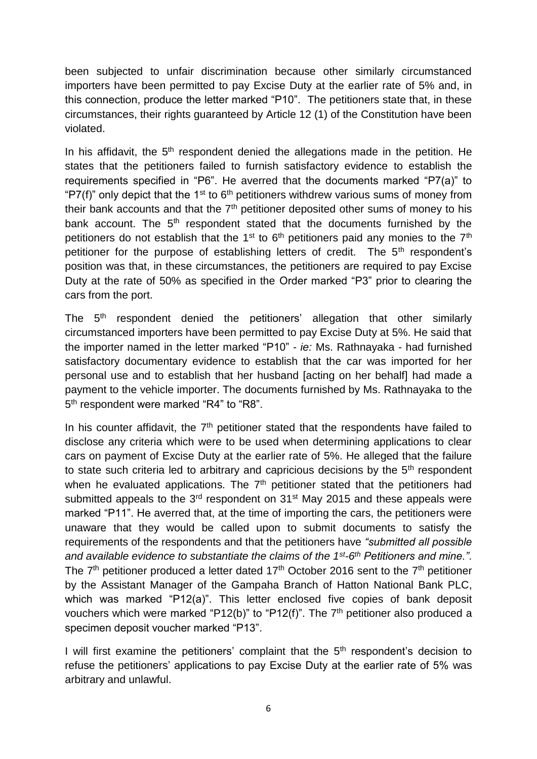been subjected to unfair discrimination because other similarly circumstanced importers have been permitted to pay Excise Duty at the earlier rate of 5% and, in this connection, produce the letter marked "P10". The petitioners state that, in these circumstances, their rights guaranteed by Article 12 (1) of the Constitution have been violated.

In his affidavit, the  $5<sup>th</sup>$  respondent denied the allegations made in the petition. He states that the petitioners failed to furnish satisfactory evidence to establish the requirements specified in "P6". He averred that the documents marked "P7(a)" to "P7(f)" only depict that the 1<sup>st</sup> to  $6<sup>th</sup>$  petitioners withdrew various sums of money from their bank accounts and that the  $7<sup>th</sup>$  petitioner deposited other sums of money to his bank account. The 5<sup>th</sup> respondent stated that the documents furnished by the petitioners do not establish that the  $1<sup>st</sup>$  to  $6<sup>th</sup>$  petitioners paid any monies to the  $7<sup>th</sup>$ petitioner for the purpose of establishing letters of credit. The 5<sup>th</sup> respondent's position was that, in these circumstances, the petitioners are required to pay Excise Duty at the rate of 50% as specified in the Order marked "P3" prior to clearing the cars from the port.

The 5<sup>th</sup> respondent denied the petitioners' allegation that other similarly circumstanced importers have been permitted to pay Excise Duty at 5%. He said that the importer named in the letter marked "P10" - *ie:* Ms. Rathnayaka - had furnished satisfactory documentary evidence to establish that the car was imported for her personal use and to establish that her husband [acting on her behalf] had made a payment to the vehicle importer. The documents furnished by Ms. Rathnayaka to the 5<sup>th</sup> respondent were marked "R4" to "R8".

In his counter affidavit, the  $7<sup>th</sup>$  petitioner stated that the respondents have failed to disclose any criteria which were to be used when determining applications to clear cars on payment of Excise Duty at the earlier rate of 5%. He alleged that the failure to state such criteria led to arbitrary and capricious decisions by the 5<sup>th</sup> respondent when he evaluated applications. The 7<sup>th</sup> petitioner stated that the petitioners had submitted appeals to the  $3<sup>rd</sup>$  respondent on  $31<sup>st</sup>$  May 2015 and these appeals were marked "P11". He averred that, at the time of importing the cars, the petitioners were unaware that they would be called upon to submit documents to satisfy the requirements of the respondents and that the petitioners have *"submitted all possible and available evidence to substantiate the claims of the 1st-6 th Petitioners and mine."*. The  $7<sup>th</sup>$  petitioner produced a letter dated 17<sup>th</sup> October 2016 sent to the  $7<sup>th</sup>$  petitioner by the Assistant Manager of the Gampaha Branch of Hatton National Bank PLC, which was marked "P12(a)". This letter enclosed five copies of bank deposit vouchers which were marked "P12(b)" to "P12(f)". The  $7<sup>th</sup>$  petitioner also produced a specimen deposit voucher marked "P13".

I will first examine the petitioners' complaint that the  $5<sup>th</sup>$  respondent's decision to refuse the petitioners' applications to pay Excise Duty at the earlier rate of 5% was arbitrary and unlawful.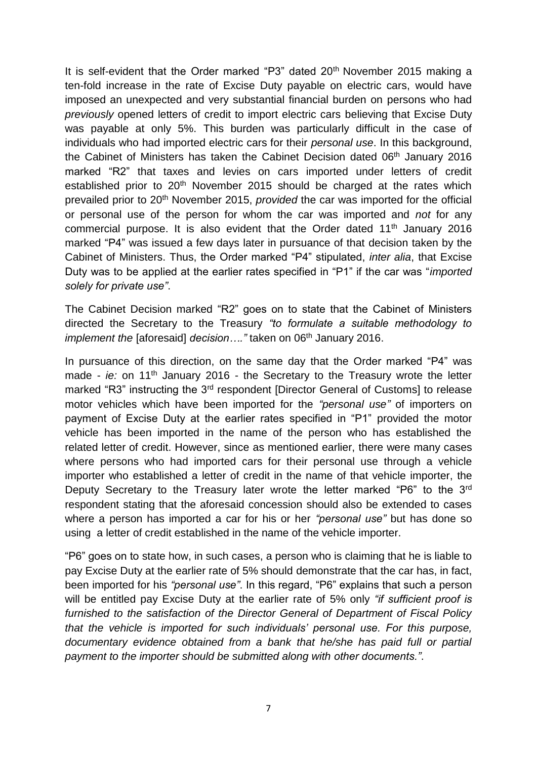It is self-evident that the Order marked "P3" dated 20<sup>th</sup> November 2015 making a ten-fold increase in the rate of Excise Duty payable on electric cars, would have imposed an unexpected and very substantial financial burden on persons who had *previously* opened letters of credit to import electric cars believing that Excise Duty was payable at only 5%. This burden was particularly difficult in the case of individuals who had imported electric cars for their *personal use*. In this background, the Cabinet of Ministers has taken the Cabinet Decision dated 06<sup>th</sup> January 2016 marked "R2" that taxes and levies on cars imported under letters of credit established prior to 20<sup>th</sup> November 2015 should be charged at the rates which prevailed prior to 20th November 2015, *provided* the car was imported for the official or personal use of the person for whom the car was imported and *not* for any commercial purpose. It is also evident that the Order dated 11<sup>th</sup> January 2016 marked "P4" was issued a few days later in pursuance of that decision taken by the Cabinet of Ministers. Thus, the Order marked "P4" stipulated, *inter alia*, that Excise Duty was to be applied at the earlier rates specified in "P1" if the car was "*imported solely for private use"*.

The Cabinet Decision marked "R2" goes on to state that the Cabinet of Ministers directed the Secretary to the Treasury *"to formulate a suitable methodology to implement the* [aforesaid] *decision...*." taken on 06<sup>th</sup> January 2016.

In pursuance of this direction, on the same day that the Order marked "P4" was made - *ie:* on 11<sup>th</sup> January 2016 - the Secretary to the Treasury wrote the letter marked "R3" instructing the 3<sup>rd</sup> respondent [Director General of Customs] to release motor vehicles which have been imported for the *"personal use"* of importers on payment of Excise Duty at the earlier rates specified in "P1" provided the motor vehicle has been imported in the name of the person who has established the related letter of credit. However, since as mentioned earlier, there were many cases where persons who had imported cars for their personal use through a vehicle importer who established a letter of credit in the name of that vehicle importer, the Deputy Secretary to the Treasury later wrote the letter marked "P6" to the 3<sup>rd</sup> respondent stating that the aforesaid concession should also be extended to cases where a person has imported a car for his or her *"personal use"* but has done so using a letter of credit established in the name of the vehicle importer.

"P6" goes on to state how, in such cases, a person who is claiming that he is liable to pay Excise Duty at the earlier rate of 5% should demonstrate that the car has, in fact, been imported for his *"personal use"*. In this regard, "P6" explains that such a person will be entitled pay Excise Duty at the earlier rate of 5% only *"if sufficient proof is furnished to the satisfaction of the Director General of Department of Fiscal Policy that the vehicle is imported for such individuals' personal use. For this purpose, documentary evidence obtained from a bank that he/she has paid full or partial payment to the importer should be submitted along with other documents."*.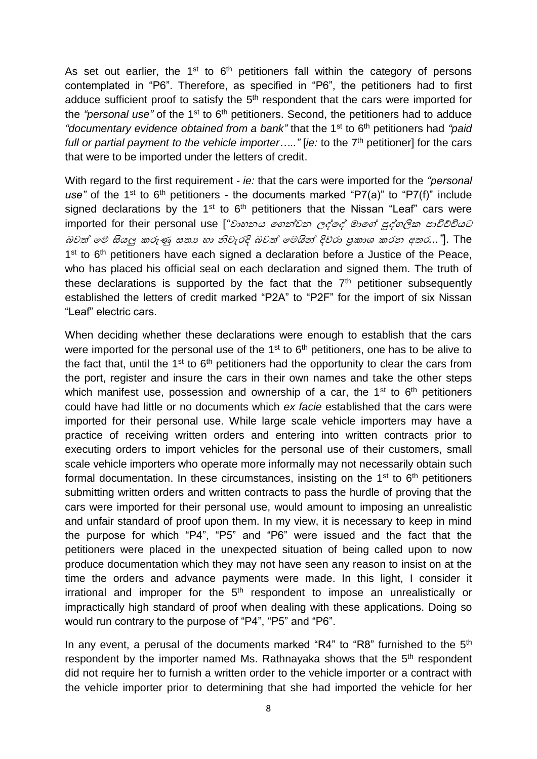As set out earlier, the  $1<sup>st</sup>$  to  $6<sup>th</sup>$  petitioners fall within the category of persons contemplated in "P6". Therefore, as specified in "P6", the petitioners had to first adduce sufficient proof to satisfy the 5<sup>th</sup> respondent that the cars were imported for the *"personal use"* of the 1<sup>st</sup> to 6<sup>th</sup> petitioners. Second, the petitioners had to adduce *"documentary evidence obtained from a bank"* that the 1st to 6th petitioners had *"paid*  full or partial payment to the vehicle importer....." [ie: to the 7<sup>th</sup> petitioner] for the cars that were to be imported under the letters of credit.

With regard to the first requirement - *ie:* that the cars were imported for the *"personal use*" of the 1<sup>st</sup> to  $6<sup>th</sup>$  petitioners - the documents marked "P7(a)" to "P7(f)" include signed declarations by the  $1<sup>st</sup>$  to  $6<sup>th</sup>$  petitioners that the Nissan "Leaf" cars were imported for their personal use [*"වාහනය ගෙන්වන ලද්දේ මාගේ පුද්ගලික පාචිච්චියට* බවත් ගේ සියලු කරුණු සත්ය හා නිවැරදි බවත් ගමයින් දිව්රා ප්රකාශ කරන අත්ර*..."*]. The 1<sup>st</sup> to 6<sup>th</sup> petitioners have each signed a declaration before a Justice of the Peace, who has placed his official seal on each declaration and signed them. The truth of these declarations is supported by the fact that the  $7<sup>th</sup>$  petitioner subsequently established the letters of credit marked "P2A" to "P2F" for the import of six Nissan "Leaf" electric cars.

When deciding whether these declarations were enough to establish that the cars were imported for the personal use of the  $1<sup>st</sup>$  to  $6<sup>th</sup>$  petitioners, one has to be alive to the fact that, until the  $1<sup>st</sup>$  to  $6<sup>th</sup>$  petitioners had the opportunity to clear the cars from the port, register and insure the cars in their own names and take the other steps which manifest use, possession and ownership of a car, the  $1<sup>st</sup>$  to  $6<sup>th</sup>$  petitioners could have had little or no documents which *ex facie* established that the cars were imported for their personal use. While large scale vehicle importers may have a practice of receiving written orders and entering into written contracts prior to executing orders to import vehicles for the personal use of their customers, small scale vehicle importers who operate more informally may not necessarily obtain such formal documentation. In these circumstances, insisting on the  $1<sup>st</sup>$  to  $6<sup>th</sup>$  petitioners submitting written orders and written contracts to pass the hurdle of proving that the cars were imported for their personal use, would amount to imposing an unrealistic and unfair standard of proof upon them. In my view, it is necessary to keep in mind the purpose for which "P4", "P5" and "P6" were issued and the fact that the petitioners were placed in the unexpected situation of being called upon to now produce documentation which they may not have seen any reason to insist on at the time the orders and advance payments were made. In this light, I consider it irrational and improper for the 5<sup>th</sup> respondent to impose an unrealistically or impractically high standard of proof when dealing with these applications. Doing so would run contrary to the purpose of "P4", "P5" and "P6".

In any event, a perusal of the documents marked "R4" to "R8" furnished to the  $5<sup>th</sup>$ respondent by the importer named Ms. Rathnayaka shows that the 5<sup>th</sup> respondent did not require her to furnish a written order to the vehicle importer or a contract with the vehicle importer prior to determining that she had imported the vehicle for her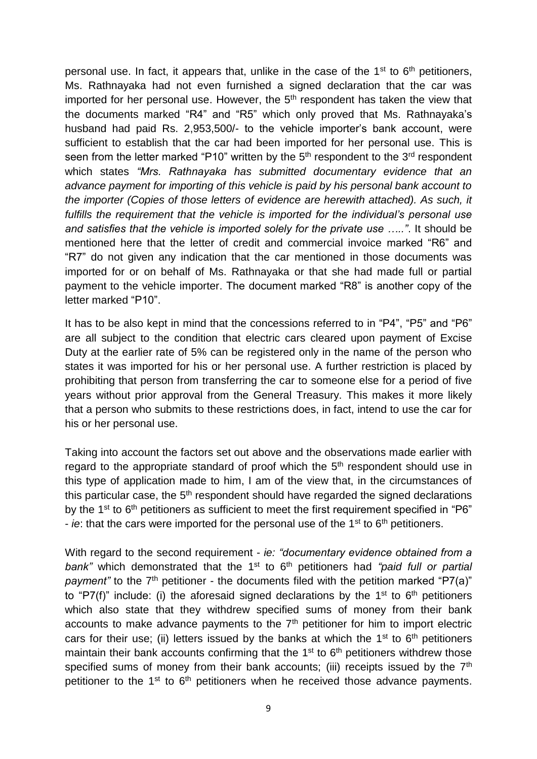personal use. In fact, it appears that, unlike in the case of the 1<sup>st</sup> to 6<sup>th</sup> petitioners, Ms. Rathnayaka had not even furnished a signed declaration that the car was imported for her personal use. However, the 5<sup>th</sup> respondent has taken the view that the documents marked "R4" and "R5" which only proved that Ms. Rathnayaka's husband had paid Rs. 2,953,500/- to the vehicle importer's bank account, were sufficient to establish that the car had been imported for her personal use. This is seen from the letter marked "P10" written by the 5<sup>th</sup> respondent to the 3<sup>rd</sup> respondent which states *"Mrs. Rathnayaka has submitted documentary evidence that an advance payment for importing of this vehicle is paid by his personal bank account to the importer (Copies of those letters of evidence are herewith attached). As such, it fulfills the requirement that the vehicle is imported for the individual's personal use and satisfies that the vehicle is imported solely for the private use ….."*. It should be mentioned here that the letter of credit and commercial invoice marked "R6" and "R7" do not given any indication that the car mentioned in those documents was imported for or on behalf of Ms. Rathnayaka or that she had made full or partial payment to the vehicle importer. The document marked "R8" is another copy of the letter marked "P10".

It has to be also kept in mind that the concessions referred to in "P4", "P5" and "P6" are all subject to the condition that electric cars cleared upon payment of Excise Duty at the earlier rate of 5% can be registered only in the name of the person who states it was imported for his or her personal use. A further restriction is placed by prohibiting that person from transferring the car to someone else for a period of five years without prior approval from the General Treasury. This makes it more likely that a person who submits to these restrictions does, in fact, intend to use the car for his or her personal use.

Taking into account the factors set out above and the observations made earlier with regard to the appropriate standard of proof which the 5<sup>th</sup> respondent should use in this type of application made to him, I am of the view that, in the circumstances of this particular case, the 5<sup>th</sup> respondent should have regarded the signed declarations by the  $1<sup>st</sup>$  to  $6<sup>th</sup>$  petitioners as sufficient to meet the first requirement specified in "P6" - *ie*: that the cars were imported for the personal use of the 1<sup>st</sup> to 6<sup>th</sup> petitioners.

With regard to the second requirement - *ie: "documentary evidence obtained from a bank*" which demonstrated that the 1<sup>st</sup> to 6<sup>th</sup> petitioners had "paid full or partial *payment*" to the 7<sup>th</sup> petitioner - the documents filed with the petition marked "P7(a)" to "P7(f)" include: (i) the aforesaid signed declarations by the  $1<sup>st</sup>$  to  $6<sup>th</sup>$  petitioners which also state that they withdrew specified sums of money from their bank accounts to make advance payments to the  $7<sup>th</sup>$  petitioner for him to import electric cars for their use; (ii) letters issued by the banks at which the  $1<sup>st</sup>$  to  $6<sup>th</sup>$  petitioners maintain their bank accounts confirming that the  $1<sup>st</sup>$  to  $6<sup>th</sup>$  petitioners withdrew those specified sums of money from their bank accounts; (iii) receipts issued by the  $7<sup>th</sup>$ petitioner to the  $1<sup>st</sup>$  to  $6<sup>th</sup>$  petitioners when he received those advance payments.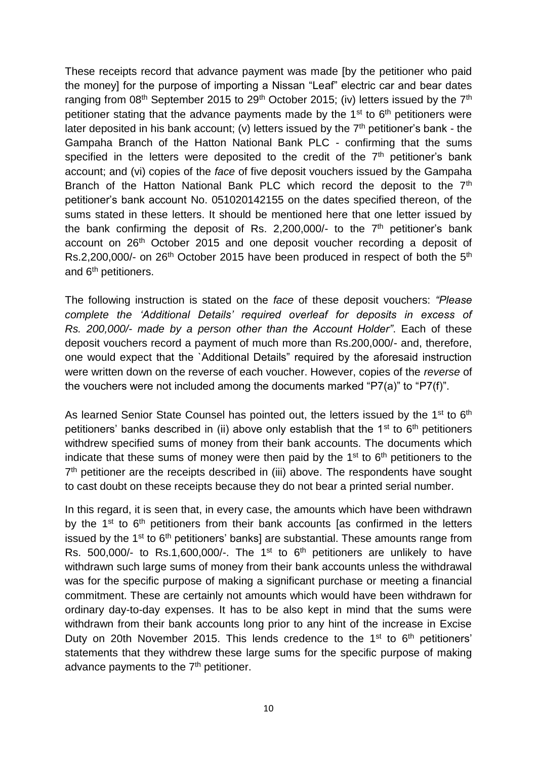These receipts record that advance payment was made [by the petitioner who paid the money] for the purpose of importing a Nissan "Leaf" electric car and bear dates ranging from  $08<sup>th</sup>$  September 2015 to 29<sup>th</sup> October 2015; (iv) letters issued by the  $7<sup>th</sup>$ petitioner stating that the advance payments made by the  $1<sup>st</sup>$  to  $6<sup>th</sup>$  petitioners were later deposited in his bank account; (v) letters issued by the  $7<sup>th</sup>$  petitioner's bank - the Gampaha Branch of the Hatton National Bank PLC - confirming that the sums specified in the letters were deposited to the credit of the  $7<sup>th</sup>$  petitioner's bank account; and (vi) copies of the *face* of five deposit vouchers issued by the Gampaha Branch of the Hatton National Bank PLC which record the deposit to the 7<sup>th</sup> petitioner's bank account No. 051020142155 on the dates specified thereon, of the sums stated in these letters. It should be mentioned here that one letter issued by the bank confirming the deposit of Rs. 2,200,000/- to the  $7<sup>th</sup>$  petitioner's bank account on 26<sup>th</sup> October 2015 and one deposit voucher recording a deposit of Rs.2,200,000/- on 26<sup>th</sup> October 2015 have been produced in respect of both the 5<sup>th</sup> and 6<sup>th</sup> petitioners.

The following instruction is stated on the *face* of these deposit vouchers: *"Please complete the 'Additional Details' required overleaf for deposits in excess of Rs. 200,000/- made by a person other than the Account Holder"*. Each of these deposit vouchers record a payment of much more than Rs.200,000/- and, therefore, one would expect that the `Additional Details" required by the aforesaid instruction were written down on the reverse of each voucher. However, copies of the *reverse* of the vouchers were not included among the documents marked "P7(a)" to "P7(f)".

As learned Senior State Counsel has pointed out, the letters issued by the 1<sup>st</sup> to 6<sup>th</sup> petitioners' banks described in (ii) above only establish that the  $1<sup>st</sup>$  to  $6<sup>th</sup>$  petitioners withdrew specified sums of money from their bank accounts. The documents which indicate that these sums of money were then paid by the  $1<sup>st</sup>$  to  $6<sup>th</sup>$  petitioners to the 7<sup>th</sup> petitioner are the receipts described in (iii) above. The respondents have sought to cast doubt on these receipts because they do not bear a printed serial number.

In this regard, it is seen that, in every case, the amounts which have been withdrawn by the  $1<sup>st</sup>$  to  $6<sup>th</sup>$  petitioners from their bank accounts [as confirmed in the letters issued by the 1<sup>st</sup> to 6<sup>th</sup> petitioners' banks] are substantial. These amounts range from Rs. 500,000/- to Rs.1,600,000/-. The 1<sup>st</sup> to  $6<sup>th</sup>$  petitioners are unlikely to have withdrawn such large sums of money from their bank accounts unless the withdrawal was for the specific purpose of making a significant purchase or meeting a financial commitment. These are certainly not amounts which would have been withdrawn for ordinary day-to-day expenses. It has to be also kept in mind that the sums were withdrawn from their bank accounts long prior to any hint of the increase in Excise Duty on 20th November 2015. This lends credence to the 1<sup>st</sup> to 6<sup>th</sup> petitioners' statements that they withdrew these large sums for the specific purpose of making advance payments to the 7<sup>th</sup> petitioner.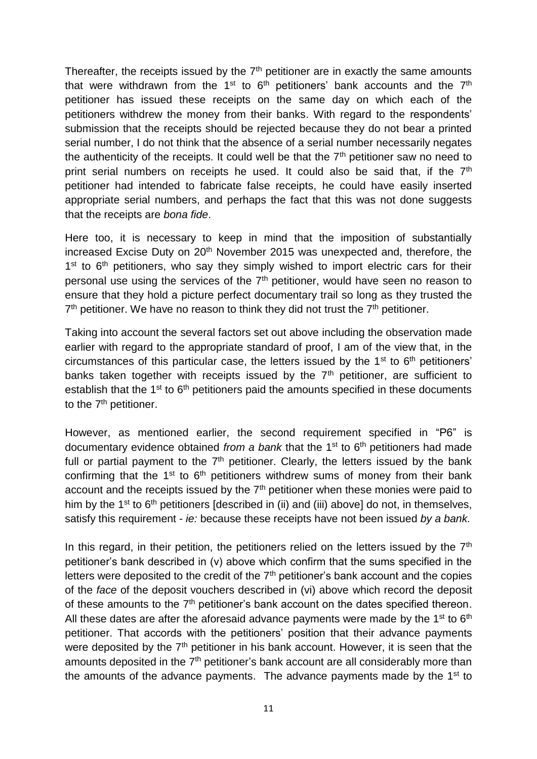Thereafter, the receipts issued by the  $7<sup>th</sup>$  petitioner are in exactly the same amounts that were withdrawn from the 1<sup>st</sup> to  $6<sup>th</sup>$  petitioners' bank accounts and the  $7<sup>th</sup>$ petitioner has issued these receipts on the same day on which each of the petitioners withdrew the money from their banks. With regard to the respondents' submission that the receipts should be rejected because they do not bear a printed serial number, I do not think that the absence of a serial number necessarily negates the authenticity of the receipts. It could well be that the  $7<sup>th</sup>$  petitioner saw no need to print serial numbers on receipts he used. It could also be said that, if the 7<sup>th</sup> petitioner had intended to fabricate false receipts, he could have easily inserted appropriate serial numbers, and perhaps the fact that this was not done suggests that the receipts are *bona fide*.

Here too, it is necessary to keep in mind that the imposition of substantially increased Excise Duty on 20<sup>th</sup> November 2015 was unexpected and, therefore, the 1<sup>st</sup> to 6<sup>th</sup> petitioners, who say they simply wished to import electric cars for their personal use using the services of the  $7<sup>th</sup>$  petitioner, would have seen no reason to ensure that they hold a picture perfect documentary trail so long as they trusted the  $7<sup>th</sup>$  petitioner. We have no reason to think they did not trust the  $7<sup>th</sup>$  petitioner.

Taking into account the several factors set out above including the observation made earlier with regard to the appropriate standard of proof, I am of the view that, in the circumstances of this particular case, the letters issued by the  $1<sup>st</sup>$  to  $6<sup>th</sup>$  petitioners' banks taken together with receipts issued by the  $7<sup>th</sup>$  petitioner, are sufficient to establish that the 1<sup>st</sup> to 6<sup>th</sup> petitioners paid the amounts specified in these documents to the 7<sup>th</sup> petitioner.

However, as mentioned earlier, the second requirement specified in "P6" is documentary evidence obtained *from a bank* that the 1<sup>st</sup> to 6<sup>th</sup> petitioners had made full or partial payment to the  $7<sup>th</sup>$  petitioner. Clearly, the letters issued by the bank confirming that the  $1<sup>st</sup>$  to  $6<sup>th</sup>$  petitioners withdrew sums of money from their bank account and the receipts issued by the 7<sup>th</sup> petitioner when these monies were paid to him by the 1<sup>st</sup> to  $6<sup>th</sup>$  petitioners [described in (ii) and (iii) above] do not, in themselves, satisfy this requirement - *ie:* because these receipts have not been issued *by a bank.*

In this regard, in their petition, the petitioners relied on the letters issued by the  $7<sup>th</sup>$ petitioner's bank described in (v) above which confirm that the sums specified in the letters were deposited to the credit of the  $7<sup>th</sup>$  petitioner's bank account and the copies of the *face* of the deposit vouchers described in (vi) above which record the deposit of these amounts to the  $7<sup>th</sup>$  petitioner's bank account on the dates specified thereon. All these dates are after the aforesaid advance payments were made by the  $1<sup>st</sup>$  to  $6<sup>th</sup>$ petitioner. That accords with the petitioners' position that their advance payments were deposited by the 7<sup>th</sup> petitioner in his bank account. However, it is seen that the amounts deposited in the 7<sup>th</sup> petitioner's bank account are all considerably more than the amounts of the advance payments. The advance payments made by the 1<sup>st</sup> to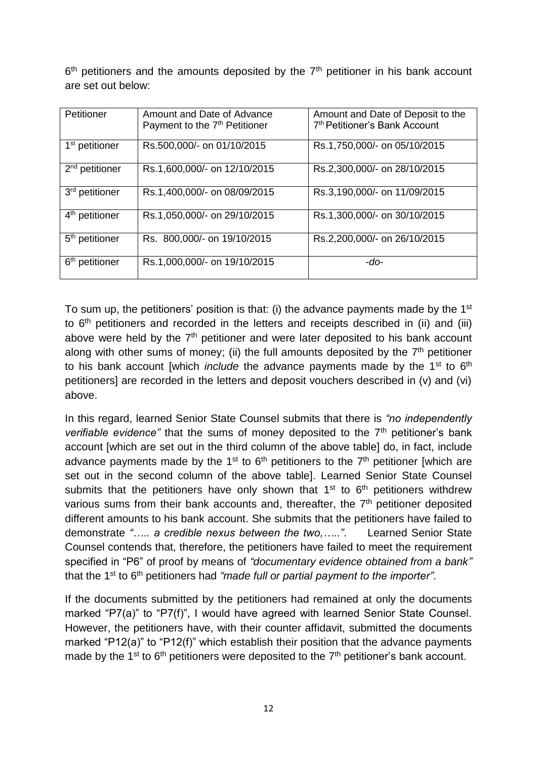6<sup>th</sup> petitioners and the amounts deposited by the 7<sup>th</sup> petitioner in his bank account are set out below:

| Petitioner                 | Amount and Date of Advance                | Amount and Date of Deposit to the         |
|----------------------------|-------------------------------------------|-------------------------------------------|
|                            |                                           |                                           |
|                            | Payment to the 7 <sup>th</sup> Petitioner | 7 <sup>th</sup> Petitioner's Bank Account |
|                            |                                           |                                           |
| 1 <sup>st</sup> petitioner | Rs.500,000/- on 01/10/2015                | Rs.1,750,000/- on 05/10/2015              |
|                            |                                           |                                           |
|                            |                                           |                                           |
| $2nd$ petitioner           | Rs.1,600,000/- on 12/10/2015              | Rs.2,300,000/- on 28/10/2015              |
|                            |                                           |                                           |
|                            |                                           |                                           |
| 3rd petitioner             | Rs.1,400,000/- on 08/09/2015              | Rs.3,190,000/- on 11/09/2015              |
|                            |                                           |                                           |
|                            |                                           |                                           |
| 4 <sup>th</sup> petitioner | Rs.1,050,000/- on 29/10/2015              | Rs.1,300,000/- on 30/10/2015              |
|                            |                                           |                                           |
|                            |                                           |                                           |
| 5 <sup>th</sup> petitioner | Rs. 800,000/- on 19/10/2015               | Rs.2,200,000/- on 26/10/2015              |
|                            |                                           |                                           |
|                            |                                           |                                           |
| 6 <sup>th</sup> petitioner | Rs.1,000,000/- on 19/10/2015              | -do-                                      |
|                            |                                           |                                           |
|                            |                                           |                                           |

To sum up, the petitioners' position is that: (i) the advance payments made by the 1<sup>st</sup> to 6<sup>th</sup> petitioners and recorded in the letters and receipts described in (ii) and (iii) above were held by the  $7<sup>th</sup>$  petitioner and were later deposited to his bank account along with other sums of money; (ii) the full amounts deposited by the  $7<sup>th</sup>$  petitioner to his bank account [which *include* the advance payments made by the 1<sup>st</sup> to 6<sup>th</sup> petitioners] are recorded in the letters and deposit vouchers described in (v) and (vi) above.

In this regard, learned Senior State Counsel submits that there is *"no independently verifiable evidence*" that the sums of money deposited to the 7<sup>th</sup> petitioner's bank account [which are set out in the third column of the above table] do, in fact, include advance payments made by the 1<sup>st</sup> to  $6<sup>th</sup>$  petitioners to the  $7<sup>th</sup>$  petitioner [which are set out in the second column of the above table]. Learned Senior State Counsel submits that the petitioners have only shown that  $1<sup>st</sup>$  to  $6<sup>th</sup>$  petitioners withdrew various sums from their bank accounts and, thereafter, the  $7<sup>th</sup>$  petitioner deposited different amounts to his bank account. She submits that the petitioners have failed to demonstrate *"….. a credible nexus between the two,….."*. Learned Senior State Counsel contends that, therefore, the petitioners have failed to meet the requirement specified in "P6" of proof by means of *"documentary evidence obtained from a bank"* that the 1st to 6th petitioners had *"made full or partial payment to the importer"*.

If the documents submitted by the petitioners had remained at only the documents marked "P7(a)" to "P7(f)", I would have agreed with learned Senior State Counsel. However, the petitioners have, with their counter affidavit, submitted the documents marked "P12(a)" to "P12(f)" which establish their position that the advance payments made by the 1<sup>st</sup> to  $6<sup>th</sup>$  petitioners were deposited to the  $7<sup>th</sup>$  petitioner's bank account.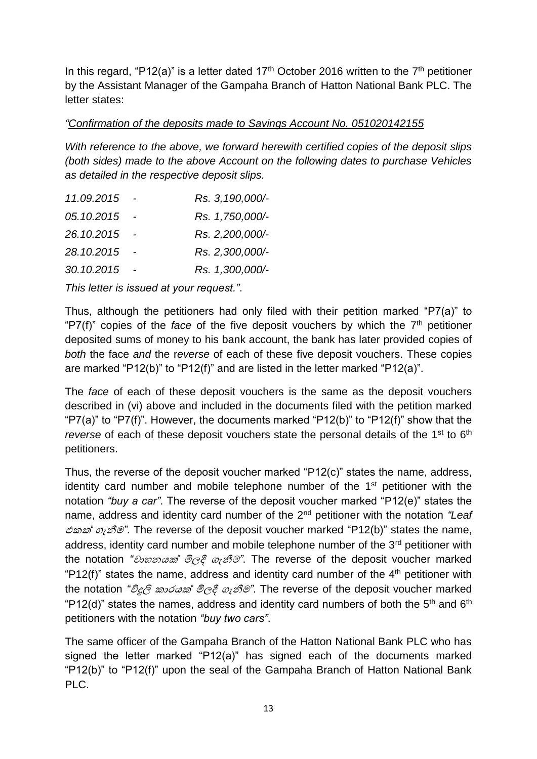In this regard, "P12(a)" is a letter dated 17<sup>th</sup> October 2016 written to the 7<sup>th</sup> petitioner by the Assistant Manager of the Gampaha Branch of Hatton National Bank PLC. The letter states:

# *"Confirmation of the deposits made to Savings Account No. 051020142155*

*With reference to the above, we forward herewith certified copies of the deposit slips (both sides) made to the above Account on the following dates to purchase Vehicles as detailed in the respective deposit slips.*

| 11.09.2015 | Rs. 3, 190,000/- |
|------------|------------------|
| 05.10.2015 | Rs. 1,750,000/-  |
| 26.10.2015 | Rs. 2,200,000/-  |
| 28.10.2015 | Rs. 2,300,000/-  |
| 30.10.2015 | Rs. 1,300,000/-  |
|            |                  |

*This letter is issued at your request."*.

Thus, although the petitioners had only filed with their petition marked "P7(a)" to "P7(f)" copies of the *face* of the five deposit vouchers by which the 7<sup>th</sup> petitioner deposited sums of money to his bank account, the bank has later provided copies of *both* the face *and* the r*everse* of each of these five deposit vouchers. These copies are marked "P12(b)" to "P12(f)" and are listed in the letter marked "P12(a)".

The *face* of each of these deposit vouchers is the same as the deposit vouchers described in (vi) above and included in the documents filed with the petition marked "P7(a)" to "P7(f)". However, the documents marked "P12(b)" to "P12(f)" show that the *reverse* of each of these deposit vouchers state the personal details of the 1<sup>st</sup> to 6<sup>th</sup> petitioners.

Thus, the reverse of the deposit voucher marked "P12(c)" states the name, address, identity card number and mobile telephone number of the 1<sup>st</sup> petitioner with the notation *"buy a car"*. The reverse of the deposit voucher marked "P12(e)" states the name, address and identity card number of the 2nd petitioner with the notation *"Leaf*  එකක් ෙැනීම*"*. The reverse of the deposit voucher marked "P12(b)" states the name, address, identity card number and mobile telephone number of the 3<sup>rd</sup> petitioner with the notation *"වාහනයක් මිලදී ගැනීම*". The reverse of the deposit voucher marked "P12(f)" states the name, address and identity card number of the  $4<sup>th</sup>$  petitioner with the notation *"විදුලි කාරයක් මිලදී ගැනීම*". The reverse of the deposit voucher marked "P12(d)" states the names, address and identity card numbers of both the  $5<sup>th</sup>$  and  $6<sup>th</sup>$ petitioners with the notation *"buy two cars"*.

The same officer of the Gampaha Branch of the Hatton National Bank PLC who has signed the letter marked "P12(a)" has signed each of the documents marked "P12(b)" to "P12(f)" upon the seal of the Gampaha Branch of Hatton National Bank PLC.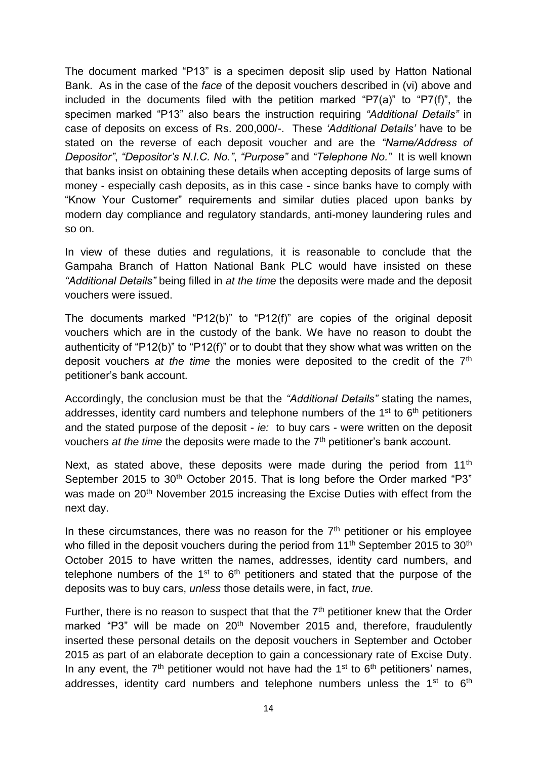The document marked "P13" is a specimen deposit slip used by Hatton National Bank. As in the case of the *face* of the deposit vouchers described in (vi) above and included in the documents filed with the petition marked "P7(a)" to "P7(f)", the specimen marked "P13" also bears the instruction requiring *"Additional Details"* in case of deposits on excess of Rs. 200,000/-. These *'Additional Details'* have to be stated on the reverse of each deposit voucher and are the *"Name/Address of Depositor"*, *"Depositor's N.I.C. No."*, *"Purpose"* and *"Telephone No."* It is well known that banks insist on obtaining these details when accepting deposits of large sums of money - especially cash deposits, as in this case - since banks have to comply with "Know Your Customer" requirements and similar duties placed upon banks by modern day compliance and regulatory standards, anti-money laundering rules and so on.

In view of these duties and regulations, it is reasonable to conclude that the Gampaha Branch of Hatton National Bank PLC would have insisted on these *"Additional Details"* being filled in *at the time* the deposits were made and the deposit vouchers were issued.

The documents marked "P12(b)" to "P12(f)" are copies of the original deposit vouchers which are in the custody of the bank. We have no reason to doubt the authenticity of "P12(b)" to "P12(f)" or to doubt that they show what was written on the deposit vouchers *at the time* the monies were deposited to the credit of the 7th petitioner's bank account.

Accordingly, the conclusion must be that the *"Additional Details"* stating the names, addresses, identity card numbers and telephone numbers of the  $1<sup>st</sup>$  to  $6<sup>th</sup>$  petitioners and the stated purpose of the deposit - *ie:* to buy cars - were written on the deposit vouchers *at the time* the deposits were made to the 7th petitioner's bank account.

Next, as stated above, these deposits were made during the period from 11<sup>th</sup> September 2015 to 30<sup>th</sup> October 2015. That is long before the Order marked "P3" was made on 20<sup>th</sup> November 2015 increasing the Excise Duties with effect from the next day.

In these circumstances, there was no reason for the  $7<sup>th</sup>$  petitioner or his employee who filled in the deposit vouchers during the period from  $11<sup>th</sup>$  September 2015 to 30<sup>th</sup> October 2015 to have written the names, addresses, identity card numbers, and telephone numbers of the  $1<sup>st</sup>$  to  $6<sup>th</sup>$  petitioners and stated that the purpose of the deposits was to buy cars, *unless* those details were, in fact, *true.*

Further, there is no reason to suspect that that the  $7<sup>th</sup>$  petitioner knew that the Order marked "P3" will be made on 20<sup>th</sup> November 2015 and, therefore, fraudulently inserted these personal details on the deposit vouchers in September and October 2015 as part of an elaborate deception to gain a concessionary rate of Excise Duty. In any event, the  $7<sup>th</sup>$  petitioner would not have had the  $1<sup>st</sup>$  to  $6<sup>th</sup>$  petitioners' names, addresses, identity card numbers and telephone numbers unless the  $1<sup>st</sup>$  to  $6<sup>th</sup>$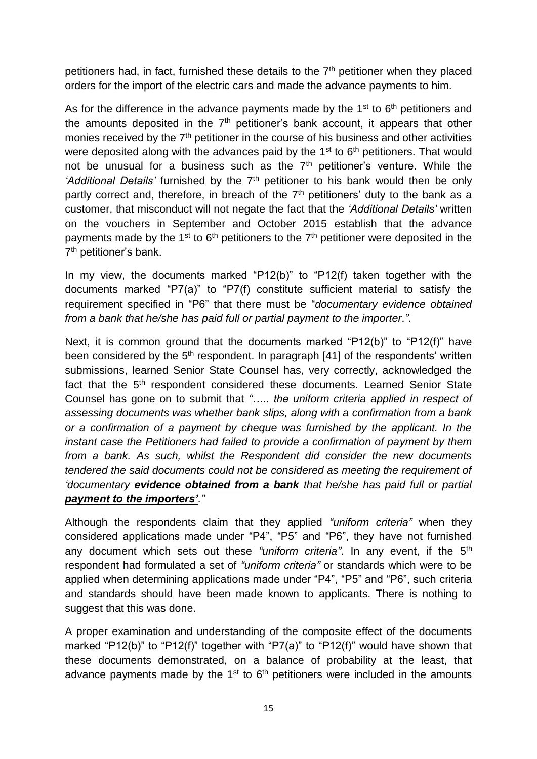petitioners had, in fact, furnished these details to the 7<sup>th</sup> petitioner when they placed orders for the import of the electric cars and made the advance payments to him.

As for the difference in the advance payments made by the  $1<sup>st</sup>$  to  $6<sup>th</sup>$  petitioners and the amounts deposited in the  $7<sup>th</sup>$  petitioner's bank account, it appears that other monies received by the 7<sup>th</sup> petitioner in the course of his business and other activities were deposited along with the advances paid by the  $1<sup>st</sup>$  to  $6<sup>th</sup>$  petitioners. That would not be unusual for a business such as the  $7<sup>th</sup>$  petitioner's venture. While the *'Additional Details'* furnished by the 7th petitioner to his bank would then be only partly correct and, therefore, in breach of the 7<sup>th</sup> petitioners' duty to the bank as a customer, that misconduct will not negate the fact that the *'Additional Details'* written on the vouchers in September and October 2015 establish that the advance payments made by the 1<sup>st</sup> to  $6<sup>th</sup>$  petitioners to the  $7<sup>th</sup>$  petitioner were deposited in the 7<sup>th</sup> petitioner's bank.

In my view, the documents marked "P12(b)" to "P12(f) taken together with the documents marked "P7(a)" to "P7(f) constitute sufficient material to satisfy the requirement specified in "P6" that there must be "*documentary evidence obtained from a bank that he/she has paid full or partial payment to the importer."*.

Next, it is common ground that the documents marked "P12(b)" to "P12(f)" have been considered by the 5<sup>th</sup> respondent. In paragraph [41] of the respondents' written submissions, learned Senior State Counsel has, very correctly, acknowledged the fact that the 5<sup>th</sup> respondent considered these documents. Learned Senior State Counsel has gone on to submit that *"….. the uniform criteria applied in respect of assessing documents was whether bank slips, along with a confirmation from a bank or a confirmation of a payment by cheque was furnished by the applicant. In the instant case the Petitioners had failed to provide a confirmation of payment by them from a bank. As such, whilst the Respondent did consider the new documents tendered the said documents could not be considered as meeting the requirement of 'documentary evidence obtained from a bank that he/she has paid full or partial payment to the importers'."*

Although the respondents claim that they applied *"uniform criteria"* when they considered applications made under "P4", "P5" and "P6", they have not furnished any document which sets out these "uniform criteria". In any event, if the 5<sup>th</sup> respondent had formulated a set of *"uniform criteria"* or standards which were to be applied when determining applications made under "P4", "P5" and "P6", such criteria and standards should have been made known to applicants. There is nothing to suggest that this was done.

A proper examination and understanding of the composite effect of the documents marked "P12(b)" to "P12(f)" together with "P7(a)" to "P12(f)" would have shown that these documents demonstrated, on a balance of probability at the least, that advance payments made by the  $1<sup>st</sup>$  to  $6<sup>th</sup>$  petitioners were included in the amounts